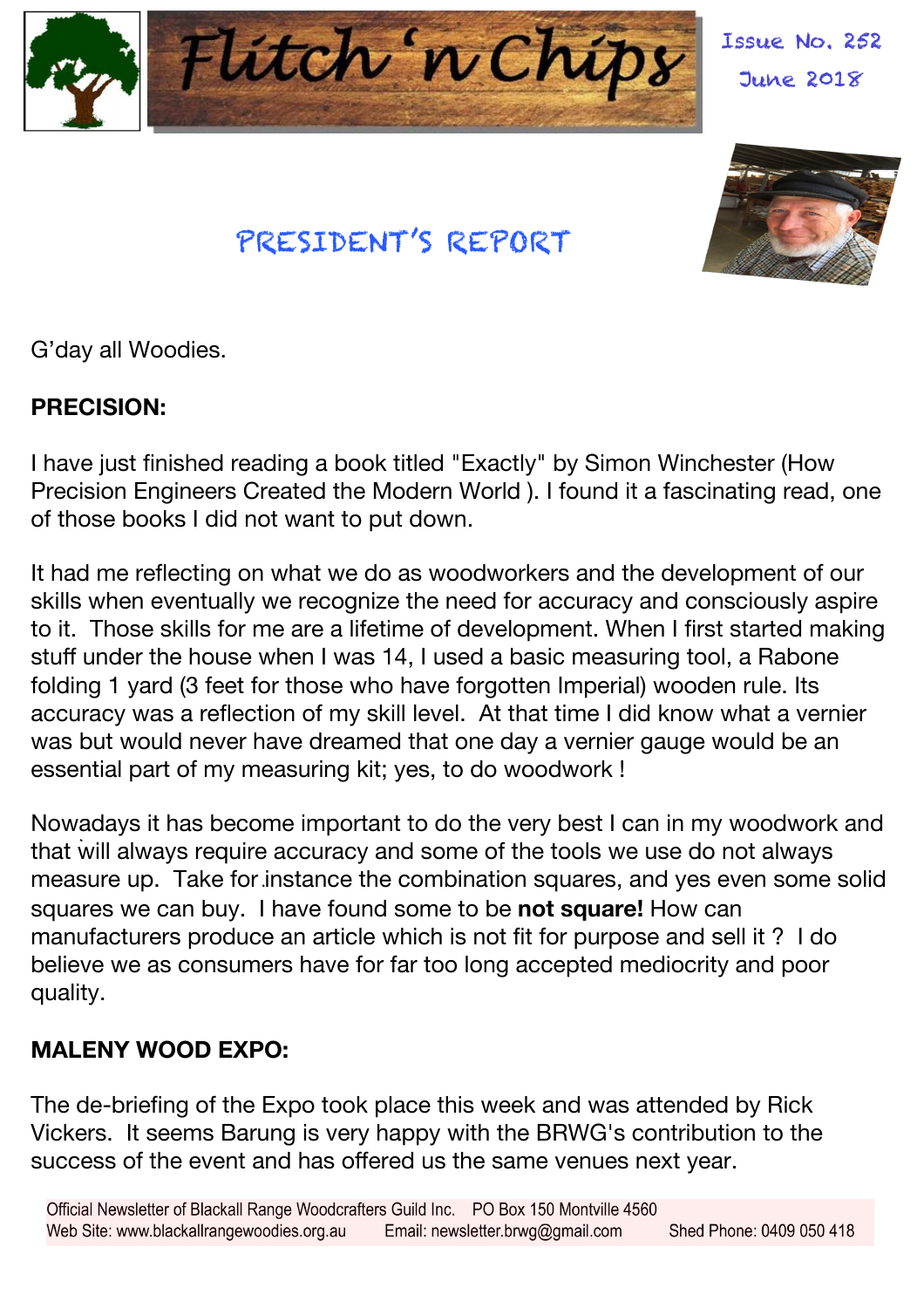

PRESIDENT'S REPORT

Issue No. 252 June 2018



G'day all Woodies.

#### **PRECISION:**

I have just finished reading a book titled "Exactly" by Simon Winchester (How Precision Engineers Created the Modern World ). I found it a fascinating read, one of those books I did not want to put down.

It had me reflecting on what we do as woodworkers and the development of our skills when eventually we recognize the need for accuracy and consciously aspire to it. Those skills for me are a lifetime of development. When I first started making stuff under the house when I was 14, I used a basic measuring tool, a Rabone folding 1 yard (3 feet for those who have forgotten Imperial) wooden rule. Its accuracy was a reflection of my skill level. At that time I did know what a vernier was but would never have dreamed that one day a vernier gauge would be an essential part of my measuring kit; yes, to do woodwork !

Nowadays it has become important to do the very best I can in my woodwork and that will always require accuracy and some of the tools we use do not always measure up. Take for instance the combination squares, and yes even some solid squares we can buy. I have found some to be **not square!** How can manufacturers produce an article which is not fit for purpose and sell it ? I do believe we as consumers have for far too long accepted mediocrity and poor quality.

#### **MALENY WOOD EXPO:**

The de-briefing of the Expo took place this week and was attended by Rick Vickers. It seems Barung is very happy with the BRWG's contribution to the success of the event and has offered us the same venues next year.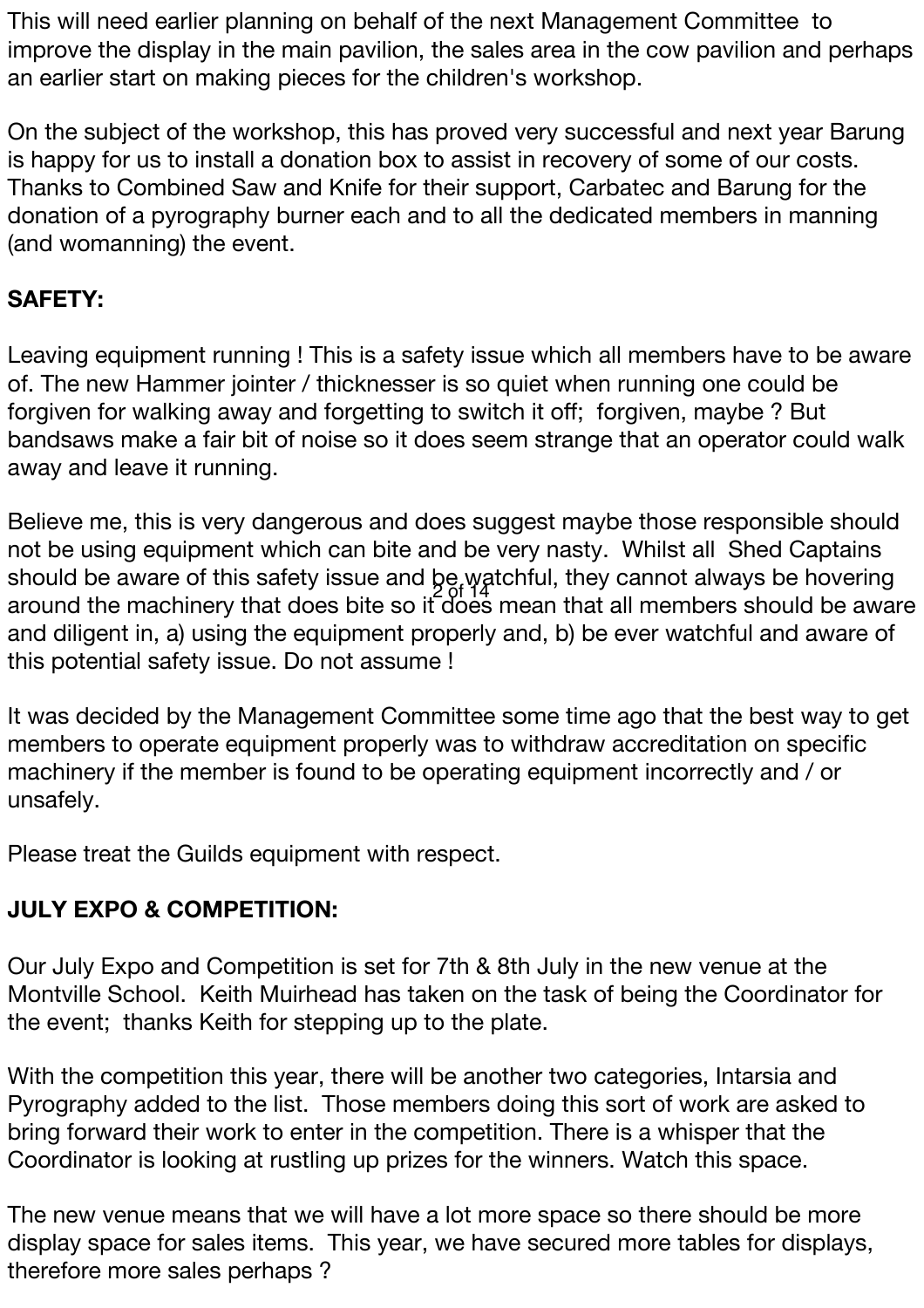This will need earlier planning on behalf of the next Management Committee to improve the display in the main pavilion, the sales area in the cow pavilion and perhaps an earlier start on making pieces for the children's workshop.

On the subject of the workshop, this has proved very successful and next year Barung is happy for us to install a donation box to assist in recovery of some of our costs. Thanks to Combined Saw and Knife for their support, Carbatec and Barung for the donation of a pyrography burner each and to all the dedicated members in manning (and womanning) the event.

#### **SAFETY:**

Leaving equipment running ! This is a safety issue which all members have to be aware of. The new Hammer jointer / thicknesser is so quiet when running one could be forgiven for walking away and forgetting to switch it off; forgiven, maybe ? But bandsaws make a fair bit of noise so it does seem strange that an operator could walk away and leave it running.

Believe me, this is very dangerous and does suggest maybe those responsible should not be using equipment which can bite and be very nasty. Whilst all Shed Captains should be aware of this safety issue and be watchful, they cannot always be hovering 2 of 14around the machinery that does bite so it does mean that all members should be aware and diligent in, a) using the equipment properly and, b) be ever watchful and aware of this potential safety issue. Do not assume !

It was decided by the Management Committee some time ago that the best way to get members to operate equipment properly was to withdraw accreditation on specific machinery if the member is found to be operating equipment incorrectly and / or unsafely.

Please treat the Guilds equipment with respect.

### **JULY EXPO & COMPETITION:**

Our July Expo and Competition is set for 7th & 8th July in the new venue at the Montville School. Keith Muirhead has taken on the task of being the Coordinator for the event; thanks Keith for stepping up to the plate.

With the competition this year, there will be another two categories, Intarsia and Pyrography added to the list. Those members doing this sort of work are asked to bring forward their work to enter in the competition. There is a whisper that the Coordinator is looking at rustling up prizes for the winners. Watch this space.

The new venue means that we will have a lot more space so there should be more display space for sales items. This year, we have secured more tables for displays, therefore more sales perhaps ?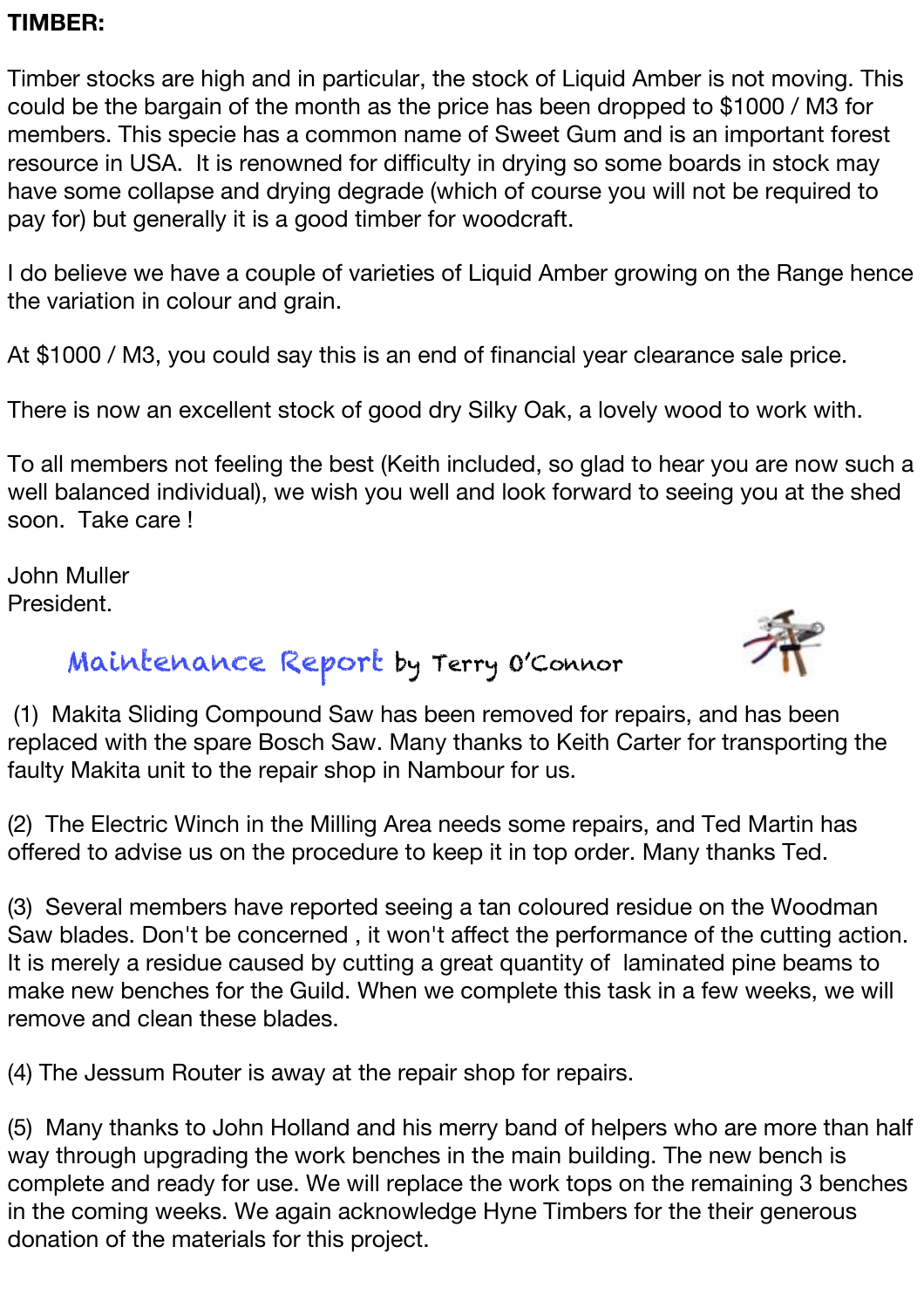#### **TIMBER:**

Timber stocks are high and in particular, the stock of Liquid Amber is not moving. This could be the bargain of the month as the price has been dropped to \$1000 / M3 for members. This specie has a common name of Sweet Gum and is an important forest resource in USA. It is renowned for difficulty in drying so some boards in stock may have some collapse and drying degrade (which of course you will not be required to pay for) but generally it is a good timber for woodcraft.

I do believe we have a couple of varieties of Liquid Amber growing on the Range hence the variation in colour and grain.

At \$1000 / M3, you could say this is an end of financial year clearance sale price.

There is now an excellent stock of good dry Silky Oak, a lovely wood to work with.

To all members not feeling the best (Keith included, so glad to hear you are now such a well balanced individual), we wish you well and look forward to seeing you at the shed soon. Take care !

John Muller President.



### Maintenance Report by Terry O'Connor

(1) Makita Sliding Compound Saw has been removed for repairs, and has been replaced with the spare Bosch Saw. Many thanks to Keith Carter for transporting the faulty Makita unit to the repair shop in Nambour for us.

(2) The Electric Winch in the Milling Area needs some repairs, and Ted Martin has offered to advise us on the procedure to keep it in top order. Many thanks Ted.

(3) Several members have reported seeing a tan coloured residue on the Woodman Saw blades. Don't be concerned , it won't affect the performance of the cutting action. It is merely a residue caused by cutting a great quantity of laminated pine beams to make new benches for the Guild. When we complete this task in a few weeks, we will remove and clean these blades.

(4) The Jessum Router is away at the repair shop for repairs.

(5) Many thanks to John Holland and his merry band of helpers who are more than half way through upgrading the work benches in the main building. The new bench is complete and ready for use. We will replace the work tops on the remaining 3 benches in the coming weeks. We again acknowledge Hyne Timbers for the their generous donation of the materials for this project.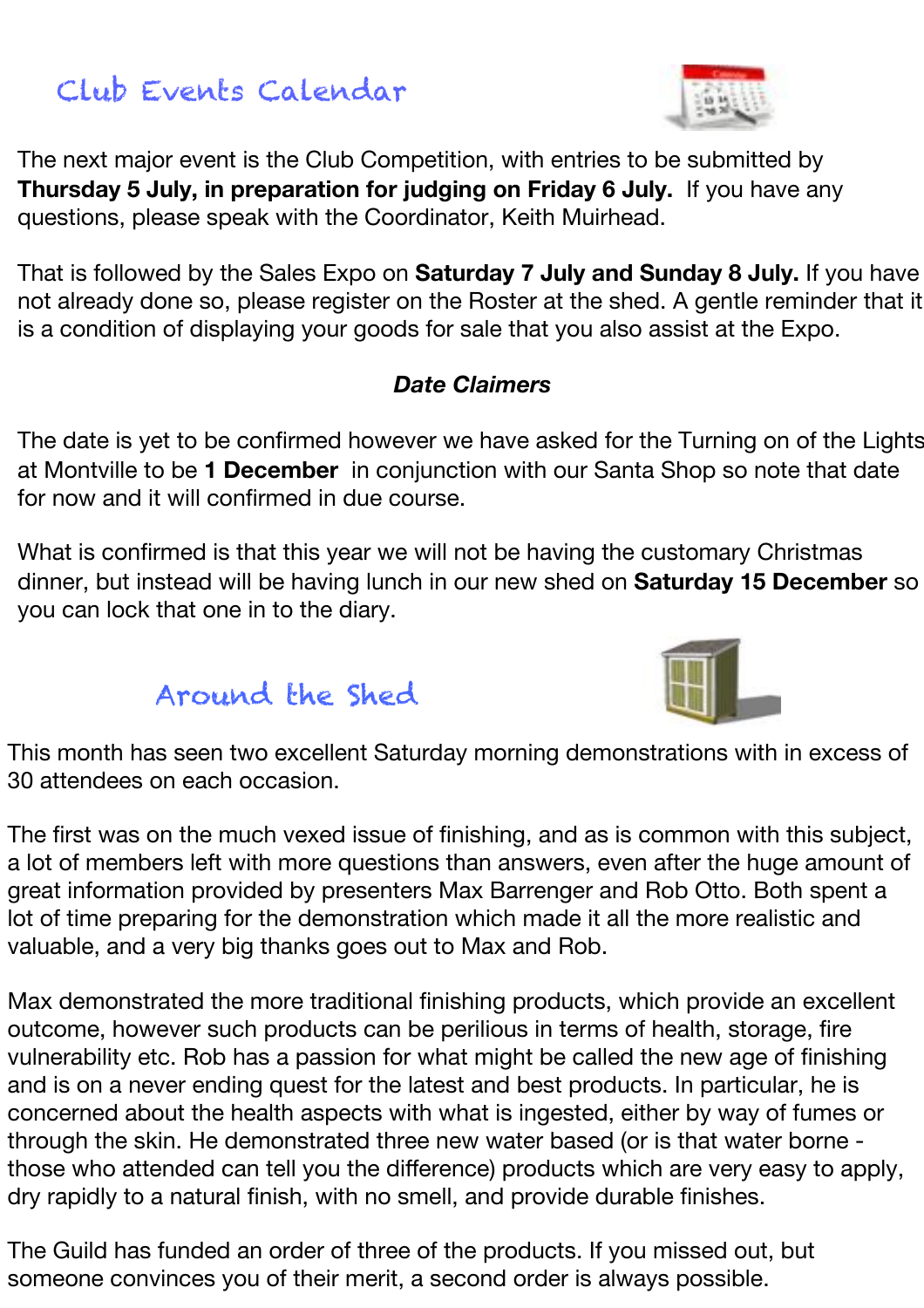### Club Events Calendar

The next major event is the Club Competition, with entries to be submitted by **Thursday 5 July, in preparation for judging on Friday 6 July.** If you have any questions, please speak with the Coordinator, Keith Muirhead.

That is followed by the Sales Expo on **Saturday 7 July and Sunday 8 July.** If you have not already done so, please register on the Roster at the shed. A gentle reminder that it is a condition of displaying your goods for sale that you also assist at the Expo.

#### *Date Claimers*

The date is yet to be confirmed however we have asked for the Turning on of the Lights at Montville to be **1 December** in conjunction with our Santa Shop so note that date for now and it will confirmed in due course.

What is confirmed is that this year we will not be having the customary Christmas dinner, but instead will be having lunch in our new shed on **Saturday 15 December** so you can lock that one in to the diary.

### Around the Shed

This month has seen two excellent Saturday morning demonstrations with in excess of 30 attendees on each occasion.

The first was on the much vexed issue of finishing, and as is common with this subject, a lot of members left with more questions than answers, even after the huge amount of great information provided by presenters Max Barrenger and Rob Otto. Both spent a lot of time preparing for the demonstration which made it all the more realistic and valuable, and a very big thanks goes out to Max and Rob.

Max demonstrated the more traditional finishing products, which provide an excellent outcome, however such products can be perilious in terms of health, storage, fire vulnerability etc. Rob has a passion for what might be called the new age of finishing and is on a never ending quest for the latest and best products. In particular, he is concerned about the health aspects with what is ingested, either by way of fumes or through the skin. He demonstrated three new water based (or is that water borne those who attended can tell you the difference) products which are very easy to apply, dry rapidly to a natural finish, with no smell, and provide durable finishes.

The Guild has funded an order of three of the products. If you missed out, but someone convinces you of their merit, a second order is always possible.



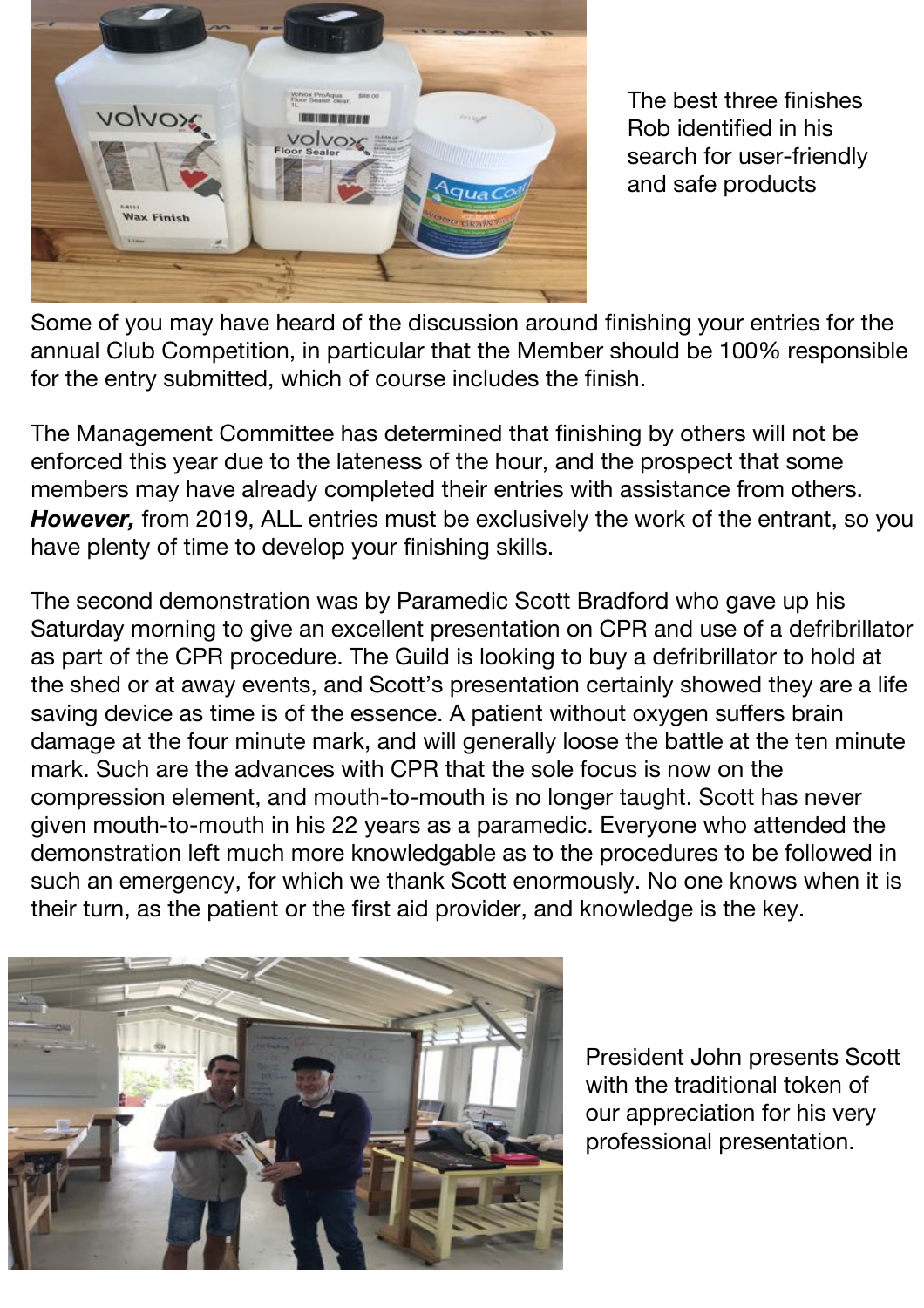

The best three finishes Rob identified in his search for user-friendly and safe products

Some of you may have heard of the discussion around finishing your entries for the annual Club Competition, in particular that the Member should be 100% responsible for the entry submitted, which of course includes the finish.

The Management Committee has determined that finishing by others will not be enforced this year due to the lateness of the hour, and the prospect that some members may have already completed their entries with assistance from others. *However,* from 2019, ALL entries must be exclusively the work of the entrant, so you have plenty of time to develop your finishing skills.

The second demonstration was by Paramedic Scott Bradford who gave up his Saturday morning to give an excellent presentation on CPR and use of a defribrillator as part of the CPR procedure. The Guild is looking to buy a defribrillator to hold at the shed or at away events, and Scott's presentation certainly showed they are a life saving device as time is of the essence. A patient without oxygen suffers brain damage at the four minute mark, and will generally loose the battle at the ten minute mark. Such are the advances with CPR that the sole focus is now on the compression element, and mouth-to-mouth is no longer taught. Scott has never given mouth-to-mouth in his 22 years as a paramedic. Everyone who attended the demonstration left much more knowledgable as to the procedures to be followed in such an emergency, for which we thank Scott enormously. No one knows when it is their turn, as the patient or the first aid provider, and knowledge is the key.



President John presents Scott with the traditional token of our appreciation for his very professional presentation.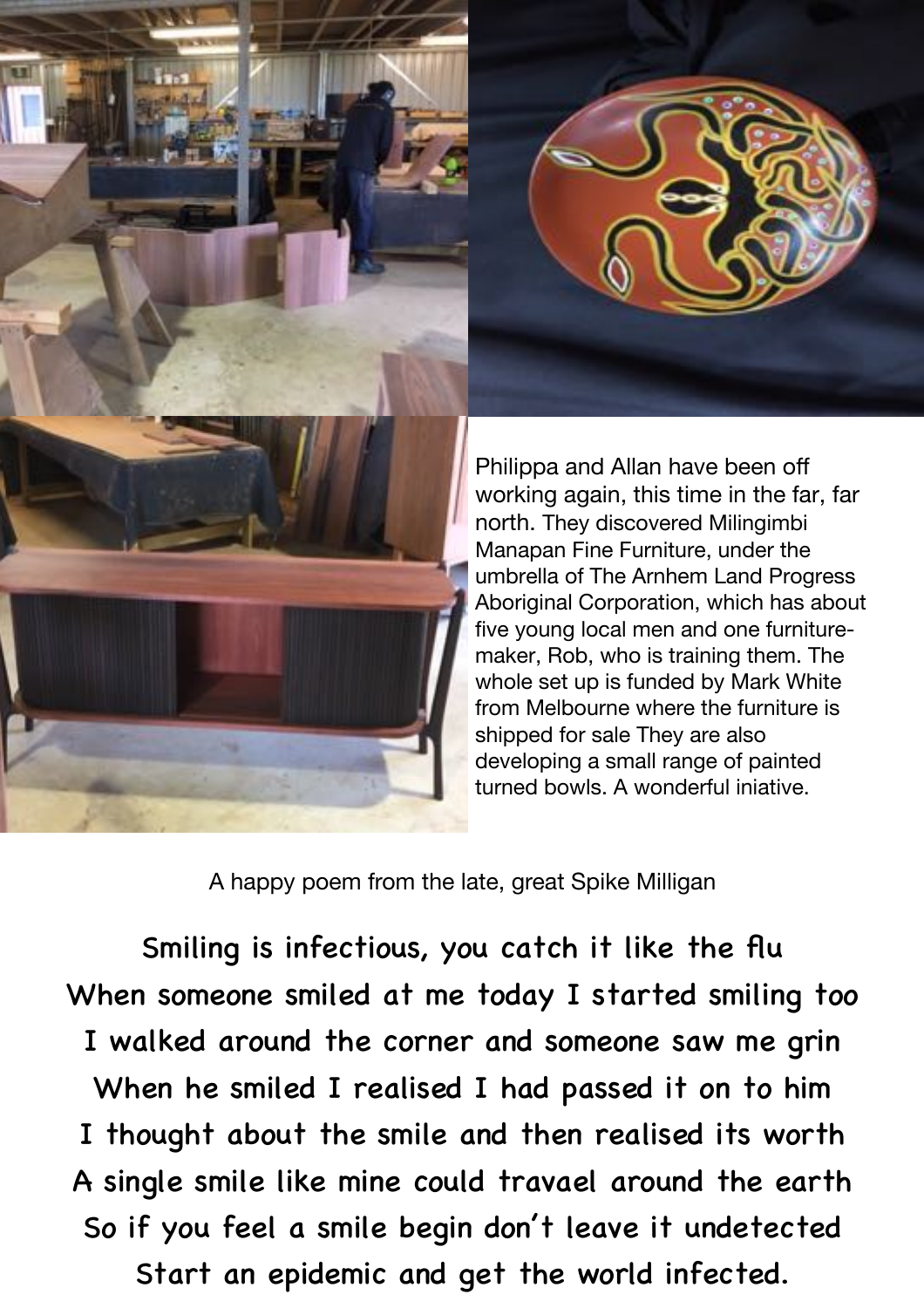



Philippa and Allan have been off working again, this time in the far, far north. They discovered Milingimbi Manapan Fine Furniture, under the umbrella of The Arnhem Land Progress Aboriginal Corporation, which has about five young local men and one furnituremaker, Rob, who is training them. The whole set up is funded by Mark White from Melbourne where the furniture is shipped for sale They are also developing a small range of painted turned bowls. A wonderful iniative.

A happy poem from the late, great Spike Milligan

Smiling is infectious, you catch it like the flu When someone smiled at me today I started smiling too I walked around the corner and someone saw me grin When he smiled I realised I had passed it on to him I thought about the smile and then realised its worth A single smile like mine could travael around the earth So if you feel a smile begin don't leave it undetected Start an epidemic and get the world infected.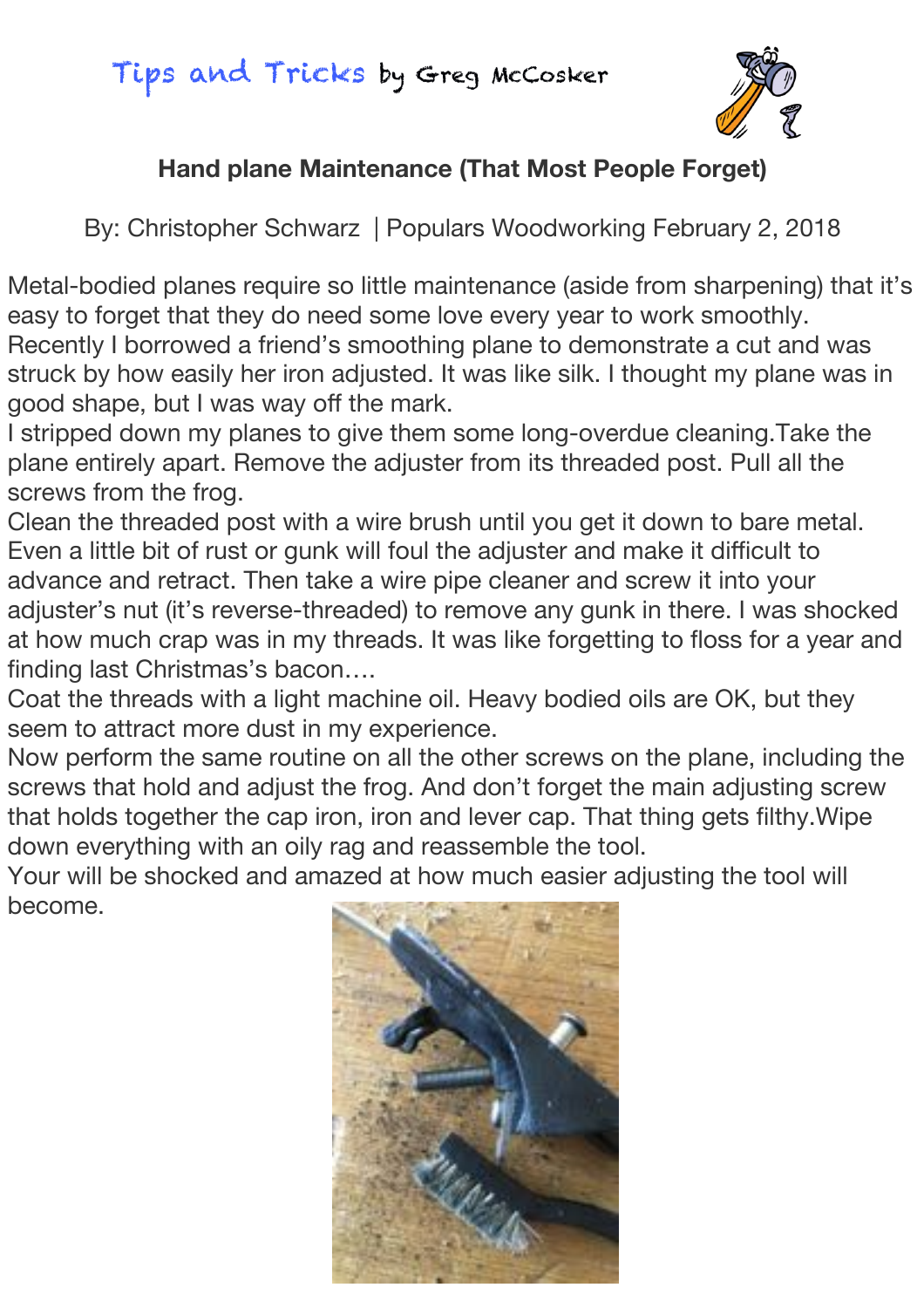### Tips and Tricks by Greg McCosker



#### **Hand plane Maintenance (That Most People Forget)**

By: Christopher Schwarz | Populars Woodworking February 2, 2018

Metal-bodied planes require so little maintenance (aside from sharpening) that it's easy to forget that they do need some love every year to work smoothly. Recently I borrowed a friend's smoothing plane to demonstrate a cut and was struck by how easily her iron adjusted. It was like silk. I thought my plane was in good shape, but I was way off the mark.

I stripped down my planes to give them some long-overdue cleaning.Take the plane entirely apart. Remove the adjuster from its threaded post. Pull all the screws from the frog.

Clean the threaded post with a wire brush until you get it down to bare metal. Even a little bit of rust or gunk will foul the adjuster and make it difficult to advance and retract. Then take a wire pipe cleaner and screw it into your adjuster's nut (it's reverse-threaded) to remove any gunk in there. I was shocked at how much crap was in my threads. It was like forgetting to floss for a year and finding last Christmas's bacon….

Coat the threads with a light machine oil. Heavy bodied oils are OK, but they seem to attract more dust in my experience.

Now perform the same routine on all the other screws on the plane, including the screws that hold and adjust the frog. And don't forget the main adjusting screw that holds together the cap iron, iron and lever cap. That thing gets filthy.Wipe down everything with an oily rag and reassemble the tool.

Your will be shocked and amazed at how much easier adjusting the tool will become.

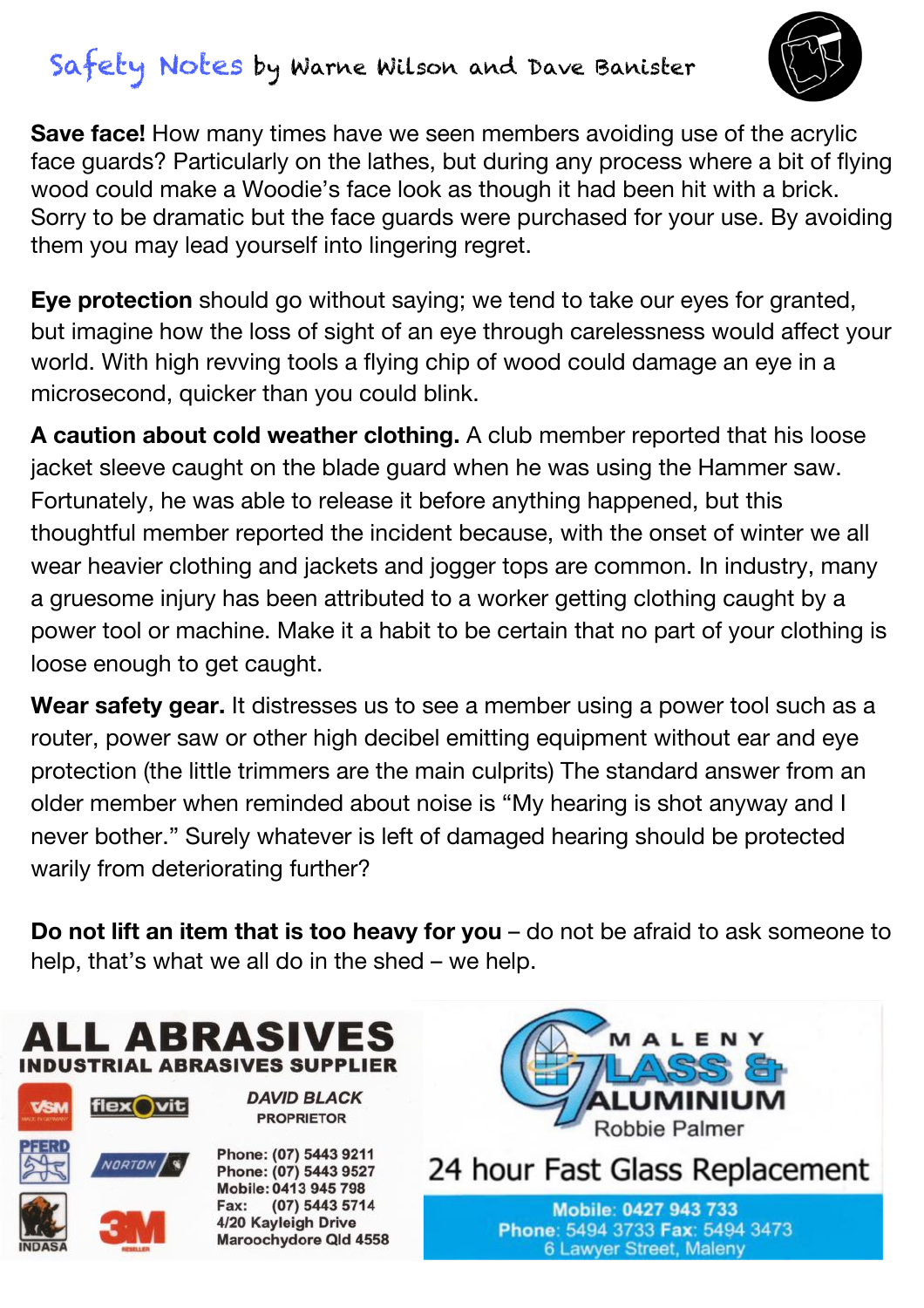## Safety Notes by Warne Wilson and Dave Banister



**Save face!** How many times have we seen members avoiding use of the acrylic face guards? Particularly on the lathes, but during any process where a bit of flying wood could make a Woodie's face look as though it had been hit with a brick. Sorry to be dramatic but the face guards were purchased for your use. By avoiding them you may lead yourself into lingering regret.

**Eye protection** should go without saying; we tend to take our eyes for granted, but imagine how the loss of sight of an eye through carelessness would affect your world. With high revving tools a flying chip of wood could damage an eye in a microsecond, quicker than you could blink.

**A caution about cold weather clothing.** A club member reported that his loose jacket sleeve caught on the blade guard when he was using the Hammer saw. Fortunately, he was able to release it before anything happened, but this thoughtful member reported the incident because, with the onset of winter we all wear heavier clothing and jackets and jogger tops are common. In industry, many a gruesome injury has been attributed to a worker getting clothing caught by a power tool or machine. Make it a habit to be certain that no part of your clothing is loose enough to get caught.

**Wear safety gear.** It distresses us to see a member using a power tool such as a router, power saw or other high decibel emitting equipment without ear and eye protection (the little trimmers are the main culprits) The standard answer from an older member when reminded about noise is "My hearing is shot anyway and I never bother." Surely whatever is left of damaged hearing should be protected warily from deteriorating further?

**Do not lift an item that is too heavy for you** – do not be afraid to ask someone to help, that's what we all do in the shed – we help.





Phone: (07) 5443 9211 Phone: (07) 5443 9527 Mobile: 0413 945 798 (07) 5443 5714 Fax: 4/20 Kayleigh Drive Maroochydore Qld 4558

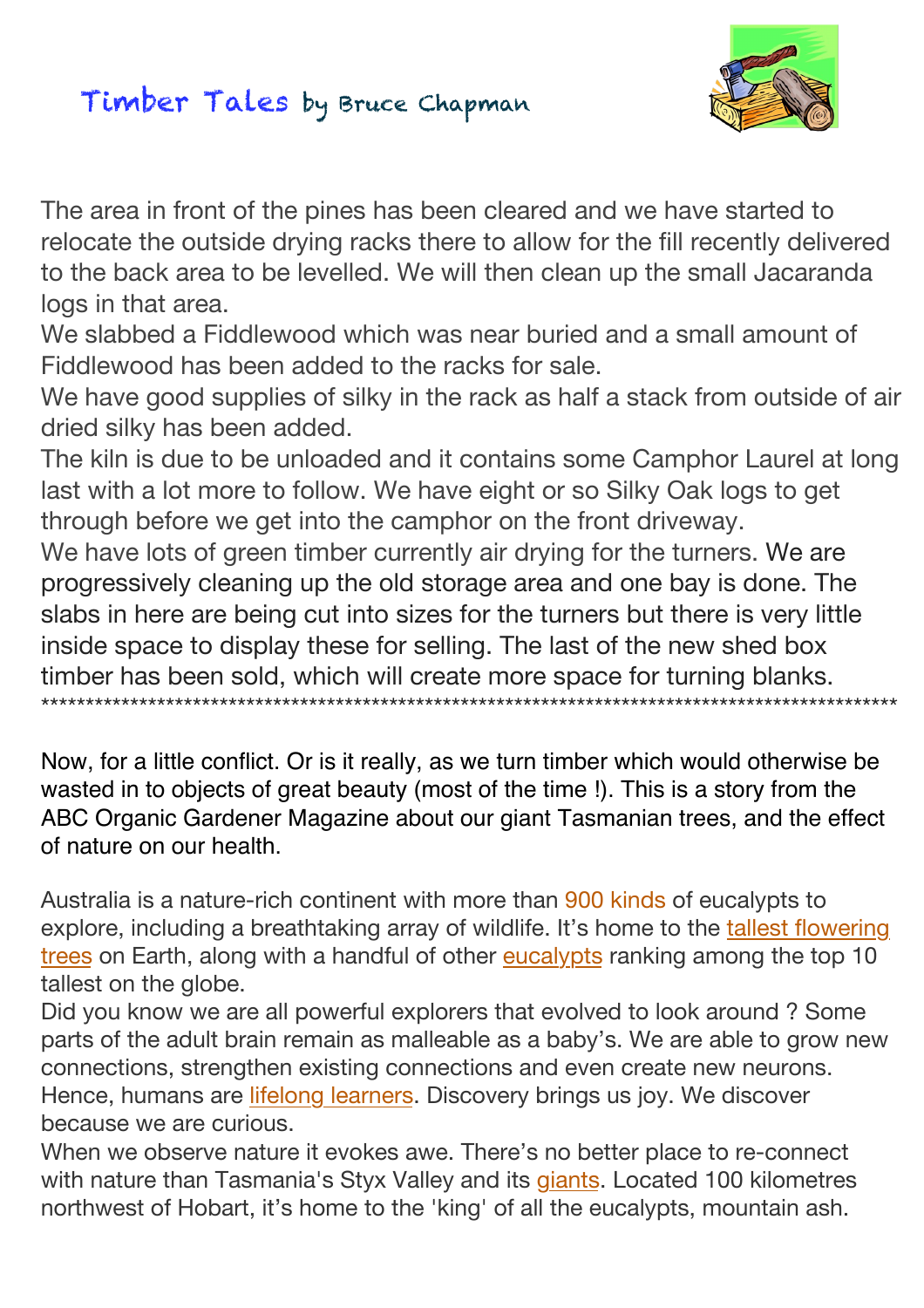### Timber Tales by Bruce Chapman



The area in front of the pines has been cleared and we have started to relocate the outside drying racks there to allow for the fill recently delivered to the back area to be levelled. We will then clean up the small Jacaranda logs in that area.

We slabbed a Fiddlewood which was near buried and a small amount of Fiddlewood has been added to the racks for sale.

We have good supplies of silky in the rack as half a stack from outside of air dried silky has been added.

The kiln is due to be unloaded and it contains some Camphor Laurel at long last with a lot more to follow. We have eight or so Silky Oak logs to get through before we get into the camphor on the front driveway.

We have lots of green timber currently air drying for the turners. We are progressively cleaning up the old storage area and one bay is done. The slabs in here are being cut into sizes for the turners but there is very little inside space to display these for selling. The last of the new shed box timber has been sold, which will create more space for turning blanks. \*\*\*\*\*\*\*\*\*\*\*\*\*\*\*\*\*\*\*\*\*\*\*\*\*\*\*\*\*\*\*\*\*\*\*\*\*\*\*\*\*\*\*\*\*\*\*\*\*\*\*\*\*\*\*\*\*\*\*\*\*\*\*\*\*\*\*\*\*\*\*\*\*\*\*\*\*\*\*\*\*\*\*\*\*\*\*\*\*\*\*\*\*\*\*\*

Now, for a little conflict. Or is it really, as we turn timber which would otherwise be wasted in to objects of great beauty (most of the time !). This is a story from the ABC Organic Gardener Magazine about our giant Tasmanian trees, and the effect of nature on our health.

Australia is a nature-rich continent with more than 900 kinds of eucalypts to explore, including a breathtaking array of wildlife. It's home to the [tallest flowering](http://www.pbs.org/wnet/nature/survivors-of-the-firestorm-mountain-ash-fact-sheet/6513/) [trees](http://www.pbs.org/wnet/nature/survivors-of-the-firestorm-mountain-ash-fact-sheet/6513/) on Earth, along with a handful of other [eucalypts](https://en.wikipedia.org/wiki/Eucalyptus_delegatensis) ranking among the top 10 tallest on the globe.

Did you know we are all powerful explorers that evolved to look around ? Some parts of the adult brain remain as malleable as a baby's. We are able to grow new connections, strengthen existing connections and even create new neurons. Hence, humans are *[lifelong learners](http://www.brainrules.net/about-brain-rules)*. Discovery brings us joy. We discover because we are curious.

When we observe nature it evokes awe. There's no better place to re-connect with nature than Tasmania's Styx Valley and its [giants](https://catalogue.nla.gov.au/Record/605284). Located 100 kilometres northwest of Hobart, it's home to the 'king' of all the eucalypts, mountain ash.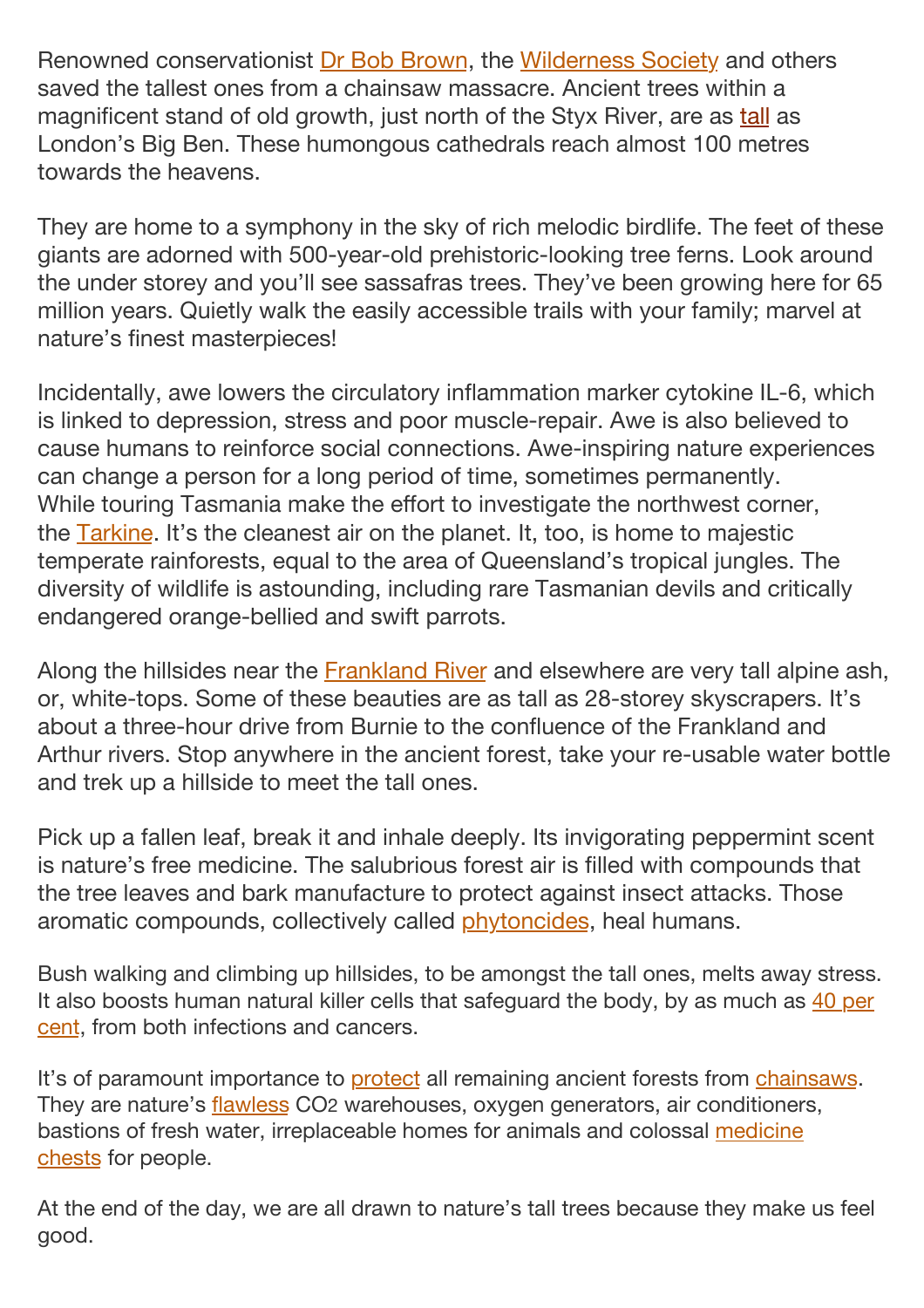Renowned conservationist [Dr Bob Brown](http://www.bobbrown.org.au/), the [Wilderness Society](https://www.wilderness.org.au/) and others saved the tallest ones from a chainsaw massacre. Ancient trees within a magnificent stand of old growth, just north of the Styx River, are as [tall](http://www.bbc.com/earth/story/20141222-the-worlds-new-tallest-tree) as London's Big Ben. These humongous cathedrals reach almost 100 metres towards the heavens.

They are home to a symphony in the sky of rich melodic birdlife. The feet of these giants are adorned with 500-year-old prehistoric-looking tree ferns. Look around the under storey and you'll see sassafras trees. They've been growing here for 65 million years. Quietly walk the easily accessible trails with your family; marvel at nature's finest masterpieces!

Incidentally, awe lowers the circulatory inflammation marker cytokine IL-6, which is linked to depression, stress and poor muscle-repair. Awe is also believed to cause humans to reinforce social connections. Awe-inspiring nature experiences can change a person for a long period of time, sometimes permanently. While touring Tasmania make the effort to investigate the northwest corner, the [Tarkine.](http://www.abc.net.au/radionational/programs/offtrack/tarkine-bioblitz/9552022) It's the cleanest air on the planet. It, too, is home to majestic temperate rainforests, equal to the area of Queensland's tropical jungles. The diversity of wildlife is astounding, including rare Tasmanian devils and critically endangered orange-bellied and swift parrots.

Along the hillsides near the [Frankland River](https://www.huffingtonpost.com/entry/protect-tarkines-ancient-franklin-river-forests_us_58b37a38e4b0658fc20f9755) and elsewhere are very tall alpine ash, or, white-tops. Some of these beauties are as tall as 28-storey skyscrapers. It's about a three-hour drive from Burnie to the confluence of the Frankland and Arthur rivers. Stop anywhere in the ancient forest, take your re-usable water bottle and trek up a hillside to meet the tall ones.

Pick up a fallen leaf, break it and inhale deeply. Its invigorating peppermint scent is nature's free medicine. The salubrious forest air is filled with compounds that the tree leaves and bark manufacture to protect against insect attacks. Those aromatic compounds, collectively called [phytoncides,](https://www.slantedonline.com/natures-wellness-science-big-trees/) heal humans.

Bush walking and climbing up hillsides, to be amongst the tall ones, melts away stress. It also boosts human natural killer cells that safeguard the body, by as much as 40 per [cent](http://www.metla.fi/tapahtumat/2011/human-health/pdf/Qing_Li.pdf), from both infections and cancers.

It's of paramount importance to [protect](https://www.organicgardener.com.au/articles/fighting-our-forests) all remaining ancient forests from [chainsaws](http://www.themercury.com.au/news/opinion/talking-point-rent-the-states-forests-dont-clearfell-them/news-story/5fb8f4d0c45f26f255beb901c088268a). They are nature's [flawless](http://sierraclub.typepad.com/greenlife/2012/01/book-review-the-insatiable-bark-beetle-reese-halter.html) CO2 warehouses, oxygen generators, air conditioners, bastions of fresh water, irreplaceable homes for animals and colossal [medicine](https://www.slantedonline.com/natures-wellness-science-big-trees/)  [chests](https://www.slantedonline.com/natures-wellness-science-big-trees/) for people.

At the end of the day, we are all drawn to nature's tall trees because they make us feel good.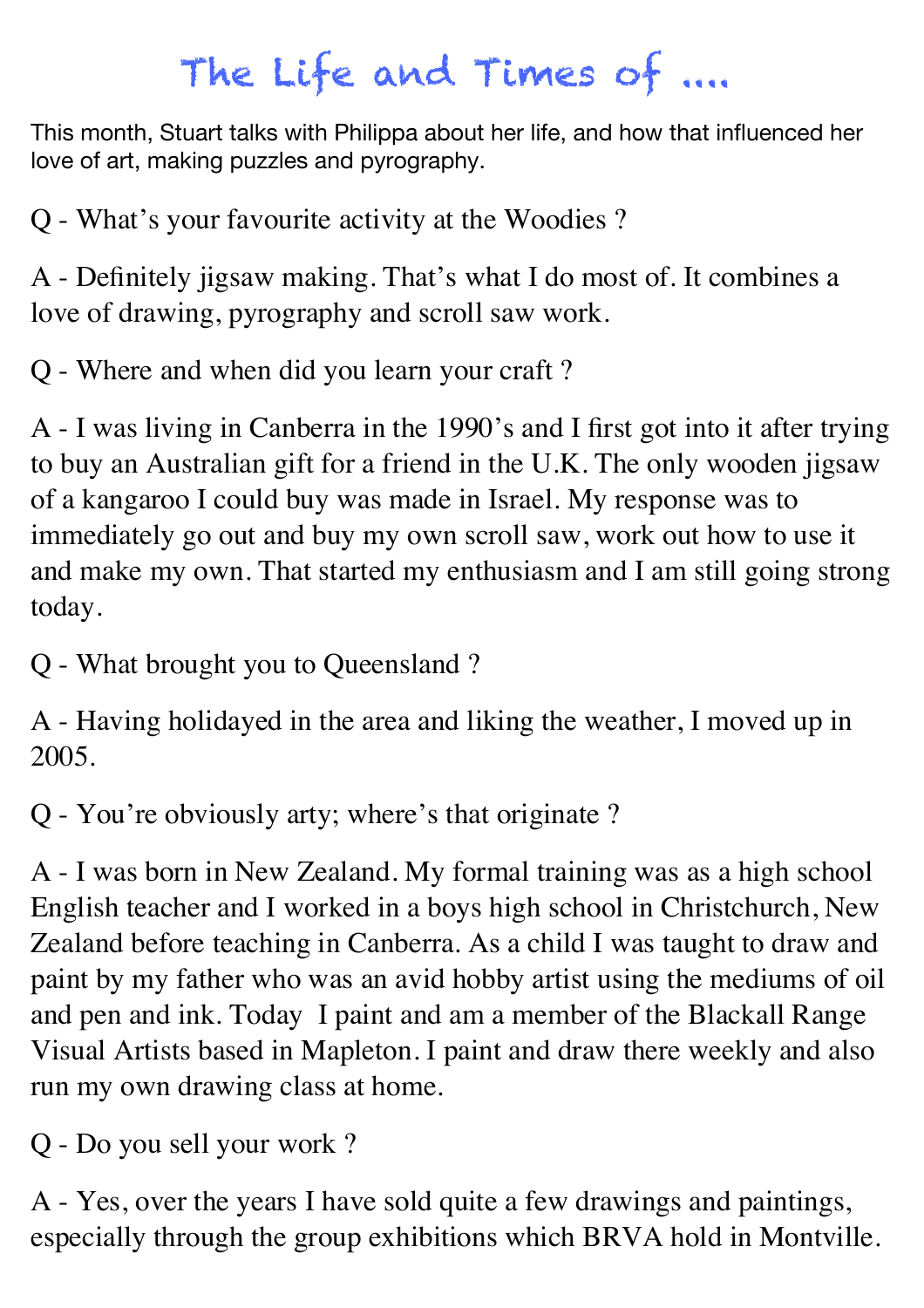# The Life and Times of ....

This month, Stuart talks with Philippa about her life, and how that influenced her love of art, making puzzles and pyrography.

Q - What's your favourite activity at the Woodies ?

A - Definitely jigsaw making. That's what I do most of. It combines a love of drawing, pyrography and scroll saw work.

Q - Where and when did you learn your craft ?

A - I was living in Canberra in the 1990's and I first got into it after trying to buy an Australian gift for a friend in the U.K. The only wooden jigsaw of a kangaroo I could buy was made in Israel. My response was to immediately go out and buy my own scroll saw, work out how to use it and make my own. That started my enthusiasm and I am still going strong today.

Q - What brought you to Queensland ?

A - Having holidayed in the area and liking the weather, I moved up in 2005.

Q - You're obviously arty; where's that originate ?

A - I was born in New Zealand. My formal training was as a high school English teacher and I worked in a boys high school in Christchurch, New Zealand before teaching in Canberra. As a child I was taught to draw and paint by my father who was an avid hobby artist using the mediums of oil and pen and ink. Today I paint and am a member of the Blackall Range Visual Artists based in Mapleton. I paint and draw there weekly and also run my own drawing class at home.

Q - Do you sell your work ?

A - Yes, over the years I have sold quite a few drawings and paintings, especially through the group exhibitions which BRVA hold in Montville.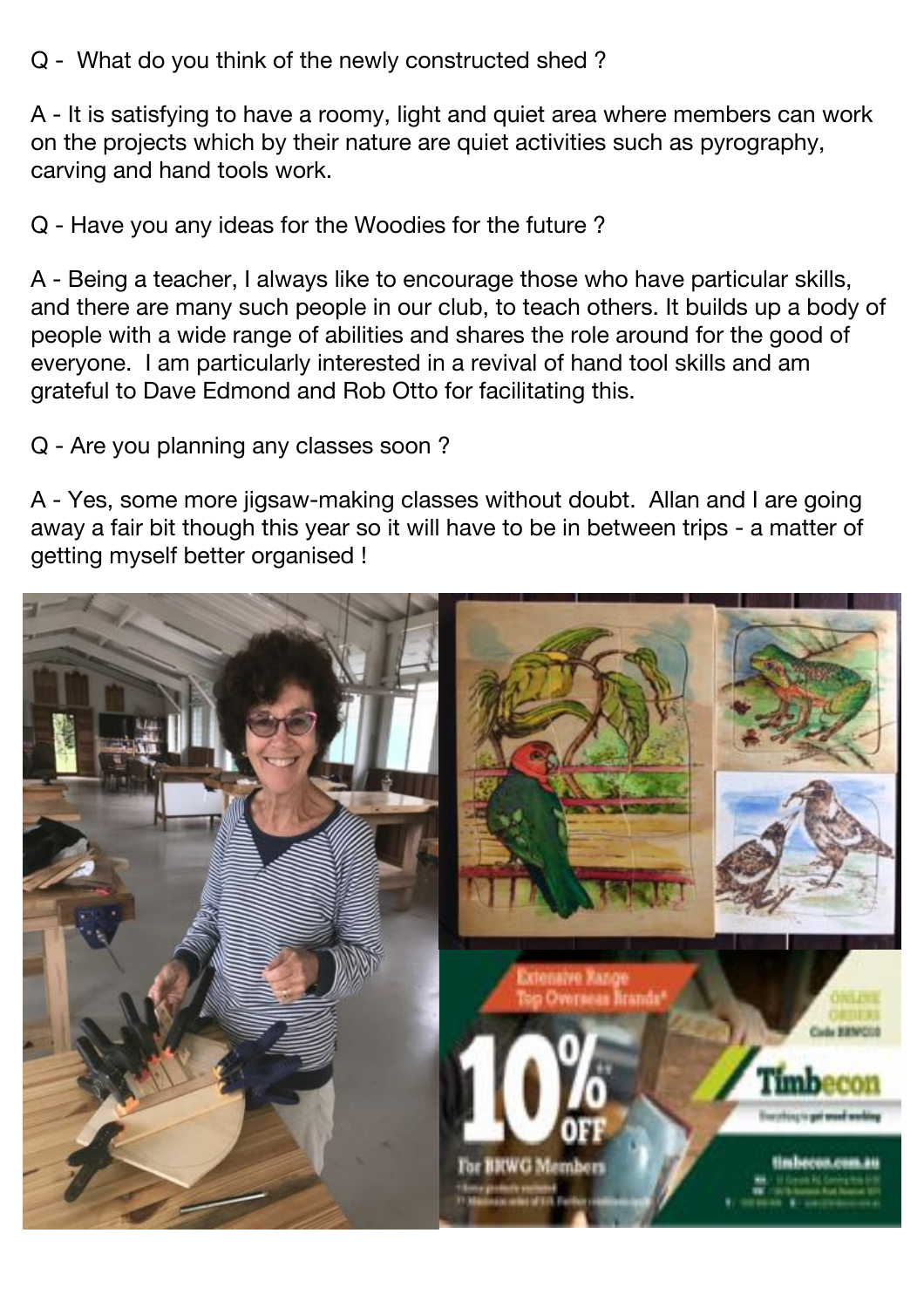Q - What do you think of the newly constructed shed ?

A - It is satisfying to have a roomy, light and quiet area where members can work on the projects which by their nature are quiet activities such as pyrography, carving and hand tools work.

Q - Have you any ideas for the Woodies for the future ?

A - Being a teacher, I always like to encourage those who have particular skills, and there are many such people in our club, to teach others. It builds up a body of people with a wide range of abilities and shares the role around for the good of everyone. I am particularly interested in a revival of hand tool skills and am grateful to Dave Edmond and Rob Otto for facilitating this.

Q - Are you planning any classes soon ?

A - Yes, some more jigsaw-making classes without doubt. Allan and I are going away a fair bit though this year so it will have to be in between trips - a matter of getting myself better organised !

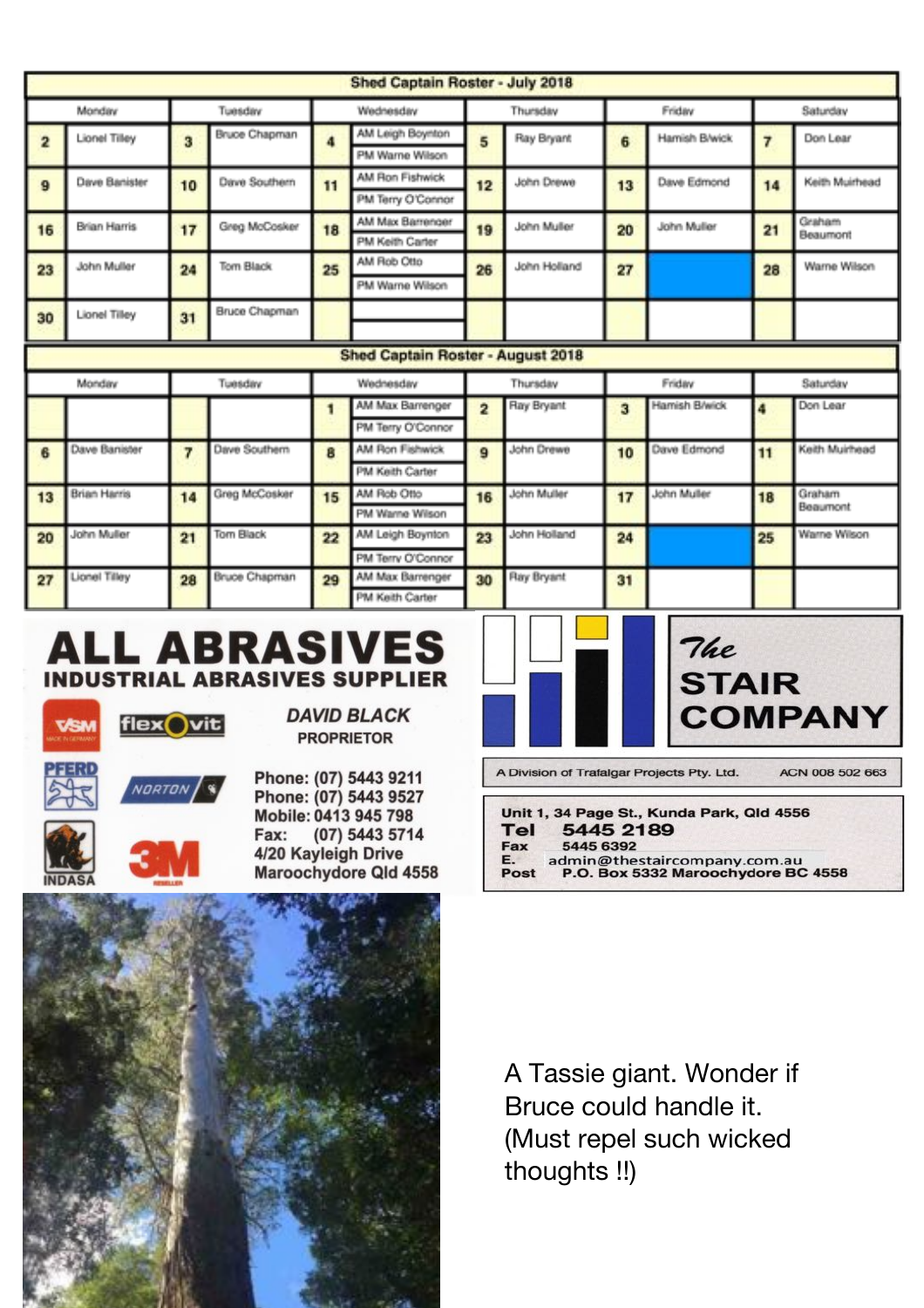| Shed Captain Roster - July 2018          |                     |           |                      |          |                                     |                |                   |          |               |    |                    |
|------------------------------------------|---------------------|-----------|----------------------|----------|-------------------------------------|----------------|-------------------|----------|---------------|----|--------------------|
| Monday<br>Tuesday                        |                     | Wednesday |                      | Thursday |                                     | Friday         |                   | Saturday |               |    |                    |
| $\overline{2}$                           | Lionel Tilley       | 3         | Bruce Chapman        |          | AM Leigh Boynton                    | 5              | Ray Bryant        | 6        | Hamish B/wick |    | Don Lear           |
|                                          |                     |           |                      |          | PM Warne Wilson                     |                |                   |          |               |    |                    |
| 9                                        | Dave Banister       | 10        | Dave Southern        | 11       | AM Ron Fishwick                     | 12             | John Drewe        | 13       | Dave Edmond   | 14 | Keith Muirhead     |
|                                          |                     |           |                      |          | PM Terry O'Connor                   |                |                   |          |               |    |                    |
| 16                                       | Brian Harris        | 17        | Greg McCosker        | 18       | AM Max Barrenger                    | 19             | John Muller<br>20 |          | John Muller   | 21 | Graham<br>Beaumont |
|                                          |                     |           |                      |          | PM Keith Carter                     |                |                   |          |               |    |                    |
| 23                                       | John Muller         | 24        | Tom Black            | 25       | AM Rob Otto                         | 26             | John Holland      | 27       |               | 28 | Warne Wilson       |
|                                          |                     |           |                      |          | PM Warne Wilson                     |                |                   |          |               |    |                    |
| 30                                       | Lionel Tilley       | 31        | Bruce Chapman        |          |                                     |                |                   |          |               |    |                    |
|                                          |                     |           |                      |          |                                     |                |                   |          |               |    |                    |
| <b>Shed Captain Roster - August 2018</b> |                     |           |                      |          |                                     |                |                   |          |               |    |                    |
|                                          |                     |           |                      |          |                                     |                |                   |          |               |    |                    |
|                                          | Monday              |           | Tuesday              |          | Wednesday                           |                | Thursday          |          | Friday        |    | Saturday           |
|                                          |                     |           |                      | 1        | AM Max Barrenger                    | $\overline{2}$ | Ray Bryant        | 3        | Hamish B/wick |    | Don Lear           |
|                                          |                     |           |                      |          | PM Terry O'Connor                   |                |                   |          |               |    |                    |
| 6                                        | Dave Banister       | 7         | Dave Southern        | 8        | AM Ron Fishwick                     | $\mathbf{9}$   | John Drewe        | 10       | Dave Edmond   | 11 | Keith Muirhead     |
|                                          |                     |           |                      |          | PM Keith Carter                     |                |                   |          |               |    |                    |
| 13                                       | <b>Brian Harris</b> | 14        | Greg McCosker        | 15       | AM Rob Otto                         | 16             | John Muller       | 17       | John Muller   | 18 | Graham             |
|                                          |                     |           |                      |          | PM Warne Wilson                     |                |                   |          |               |    | Beaumont           |
| 20                                       | John Muller         | 21        | Tom Black            | 22       | AM Leigh Boynton                    | 23             | John Holland      | 24       |               | 25 | Warne Wilson       |
|                                          |                     |           |                      |          | PM Terry O'Connor                   |                |                   |          |               |    |                    |
| 27                                       | Lionel Tilley       | 28        | <b>Bruce Chapman</b> | 29       | AM Max Barrenger<br>PM Keith Carter | 30             | Ray Bryant        | 31       |               |    |                    |

E.

Post

### **ALL ABRASIVES INDUSTRIAL ABRASIVES SUPPLIER**



**DAVID BLACK PROPRIETOR** 

Phone: (07) 5443 9211 Phone: (07) 5443 9527 Mobile: 0413 945 798 (07) 5443 5714 Fax: 4/20 Kayleigh Drive Maroochydore Qld 4558



admin@thestaircompany.com.au<br>P.O. Box 5332 Maroochydore BC 4558



A Tassie giant. Wonder if Bruce could handle it. (Must repel such wicked thoughts !!)